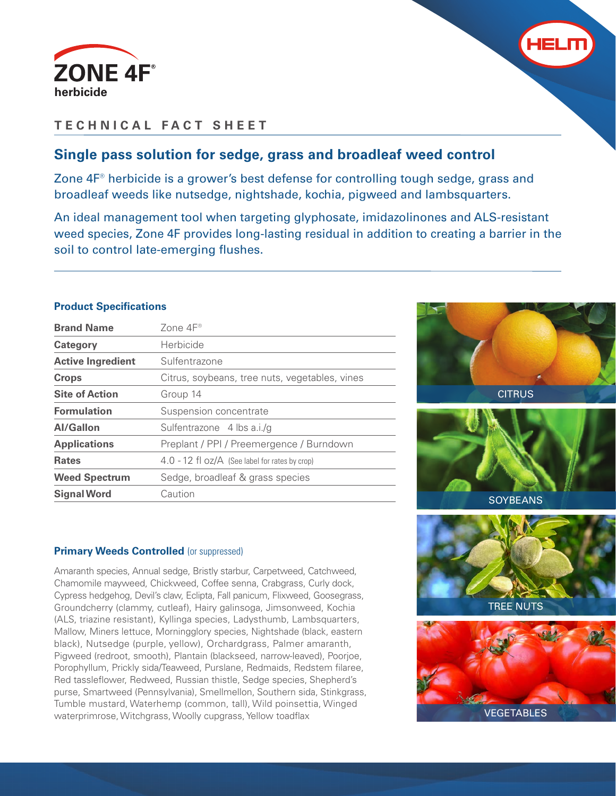



## **TECHNICAL FACT SHEET**

## **Single pass solution for sedge, grass and broadleaf weed control**

Zone 4F® herbicide is a grower's best defense for controlling tough sedge, grass and broadleaf weeds like nutsedge, nightshade, kochia, pigweed and lambsquarters.

An ideal management tool when targeting glyphosate, imidazolinones and ALS-resistant weed species, Zone 4F provides long-lasting residual in addition to creating a barrier in the soil to control late-emerging flushes.

### **Product Specifications**

| <b>Brand Name</b>        | Zone $4F^{\circ}$                                  |  |  |  |
|--------------------------|----------------------------------------------------|--|--|--|
| Category                 | Herbicide                                          |  |  |  |
| <b>Active Ingredient</b> | Sulfentrazone                                      |  |  |  |
| <b>Crops</b>             | Citrus, soybeans, tree nuts, vegetables, vines     |  |  |  |
| <b>Site of Action</b>    | Group 14                                           |  |  |  |
| <b>Formulation</b>       | Suspension concentrate                             |  |  |  |
| <b>Al/Gallon</b>         | Sulfentrazone 4 lbs a.i./g                         |  |  |  |
| <b>Applications</b>      | Preplant / PPI / Preemergence / Burndown           |  |  |  |
| <b>Rates</b>             | $4.0 - 12$ fl $oz/A$ (See label for rates by crop) |  |  |  |
| <b>Weed Spectrum</b>     | Sedge, broadleaf & grass species                   |  |  |  |
| <b>Signal Word</b>       | Caution                                            |  |  |  |





#### **Primary Weeds Controlled (or suppressed)**

Amaranth species, Annual sedge, Bristly starbur, Carpetweed, Catchweed, Chamomile mayweed, Chickweed, Coffee senna, Crabgrass, Curly dock, Cypress hedgehog, Devil's claw, Eclipta, Fall panicum, Flixweed, Goosegrass, Groundcherry (clammy, cutleaf), Hairy galinsoga, Jimsonweed, Kochia (ALS, triazine resistant), Kyllinga species, Ladysthumb, Lambsquarters, Mallow, Miners lettuce, Morningglory species, Nightshade (black, eastern black), Nutsedge (purple, yellow), Orchardgrass, Palmer amaranth, Pigweed (redroot, smooth), Plantain (blackseed, narrow-leaved), Poorjoe, Porophyllum, Prickly sida/Teaweed, Purslane, Redmaids, Redstem filaree, Red tassleflower, Redweed, Russian thistle, Sedge species, Shepherd's purse, Smartweed (Pennsylvania), Smellmellon, Southern sida, Stinkgrass, Tumble mustard, Waterhemp (common, tall), Wild poinsettia, Winged waterprimrose, Witchgrass, Woolly cupgrass, Yellow toadflax

TREE NUTS VEGETABLES